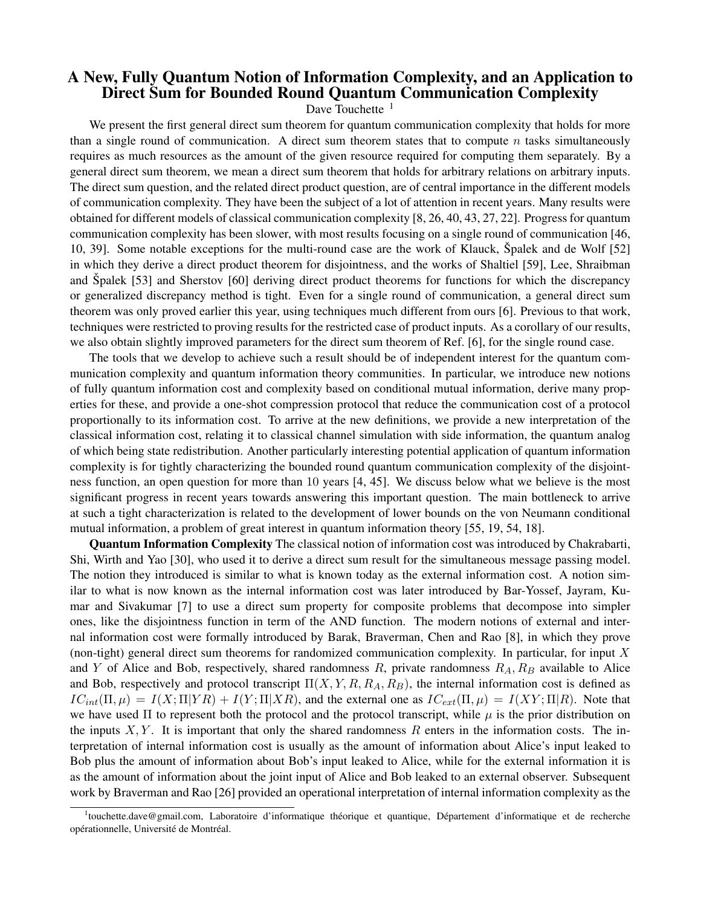## A New, Fully Quantum Notion of Information Complexity, and an Application to Direct Sum for Bounded Round Quantum Communication Complexity

Dave Touchette  $1$ 

We present the first general direct sum theorem for quantum communication complexity that holds for more than a single round of communication. A direct sum theorem states that to compute n tasks simultaneously requires as much resources as the amount of the given resource required for computing them separately. By a general direct sum theorem, we mean a direct sum theorem that holds for arbitrary relations on arbitrary inputs. The direct sum question, and the related direct product question, are of central importance in the different models of communication complexity. They have been the subject of a lot of attention in recent years. Many results were obtained for different models of classical communication complexity [8, 26, 40, 43, 27, 22]. Progress for quantum communication complexity has been slower, with most results focusing on a single round of communication [46, 10, 39]. Some notable exceptions for the multi-round case are the work of Klauck, Spalek and de Wolf [52] in which they derive a direct product theorem for disjointness, and the works of Shaltiel [59], Lee, Shraibman and Spalek [53] and Sherstov [60] deriving direct product theorems for functions for which the discrepancy or generalized discrepancy method is tight. Even for a single round of communication, a general direct sum theorem was only proved earlier this year, using techniques much different from ours [6]. Previous to that work, techniques were restricted to proving results for the restricted case of product inputs. As a corollary of our results, we also obtain slightly improved parameters for the direct sum theorem of Ref. [6], for the single round case.

The tools that we develop to achieve such a result should be of independent interest for the quantum communication complexity and quantum information theory communities. In particular, we introduce new notions of fully quantum information cost and complexity based on conditional mutual information, derive many properties for these, and provide a one-shot compression protocol that reduce the communication cost of a protocol proportionally to its information cost. To arrive at the new definitions, we provide a new interpretation of the classical information cost, relating it to classical channel simulation with side information, the quantum analog of which being state redistribution. Another particularly interesting potential application of quantum information complexity is for tightly characterizing the bounded round quantum communication complexity of the disjointness function, an open question for more than 10 years [4, 45]. We discuss below what we believe is the most significant progress in recent years towards answering this important question. The main bottleneck to arrive at such a tight characterization is related to the development of lower bounds on the von Neumann conditional mutual information, a problem of great interest in quantum information theory [55, 19, 54, 18].

Quantum Information Complexity The classical notion of information cost was introduced by Chakrabarti, Shi, Wirth and Yao [30], who used it to derive a direct sum result for the simultaneous message passing model. The notion they introduced is similar to what is known today as the external information cost. A notion similar to what is now known as the internal information cost was later introduced by Bar-Yossef, Jayram, Kumar and Sivakumar [7] to use a direct sum property for composite problems that decompose into simpler ones, like the disjointness function in term of the AND function. The modern notions of external and internal information cost were formally introduced by Barak, Braverman, Chen and Rao [8], in which they prove (non-tight) general direct sum theorems for randomized communication complexity. In particular, for input X and Y of Alice and Bob, respectively, shared randomness  $R$ , private randomness  $R_A, R_B$  available to Alice and Bob, respectively and protocol transcript  $\Pi(X, Y, R, R_A, R_B)$ , the internal information cost is defined as  $IC_{int}(\Pi,\mu) = I(X;\Pi|YR) + I(Y;\Pi|XR)$ , and the external one as  $IC_{ext}(\Pi,\mu) = I(XY;\Pi|R)$ . Note that we have used  $\Pi$  to represent both the protocol and the protocol transcript, while  $\mu$  is the prior distribution on the inputs  $X, Y$ . It is important that only the shared randomness R enters in the information costs. The interpretation of internal information cost is usually as the amount of information about Alice's input leaked to Bob plus the amount of information about Bob's input leaked to Alice, while for the external information it is as the amount of information about the joint input of Alice and Bob leaked to an external observer. Subsequent work by Braverman and Rao [26] provided an operational interpretation of internal information complexity as the

<sup>&</sup>lt;sup>1</sup>touchette.dave@gmail.com, Laboratoire d'informatique théorique et quantique, Département d'informatique et de recherche opérationnelle, Université de Montréal.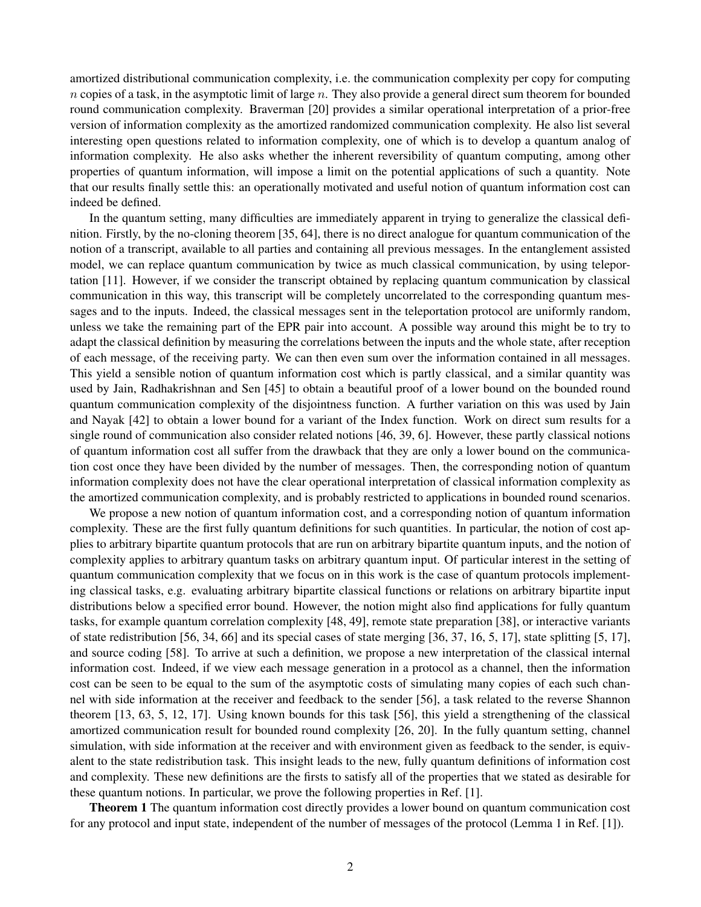amortized distributional communication complexity, i.e. the communication complexity per copy for computing  $n$  copies of a task, in the asymptotic limit of large  $n$ . They also provide a general direct sum theorem for bounded round communication complexity. Braverman [20] provides a similar operational interpretation of a prior-free version of information complexity as the amortized randomized communication complexity. He also list several interesting open questions related to information complexity, one of which is to develop a quantum analog of information complexity. He also asks whether the inherent reversibility of quantum computing, among other properties of quantum information, will impose a limit on the potential applications of such a quantity. Note that our results finally settle this: an operationally motivated and useful notion of quantum information cost can indeed be defined.

In the quantum setting, many difficulties are immediately apparent in trying to generalize the classical definition. Firstly, by the no-cloning theorem [35, 64], there is no direct analogue for quantum communication of the notion of a transcript, available to all parties and containing all previous messages. In the entanglement assisted model, we can replace quantum communication by twice as much classical communication, by using teleportation [11]. However, if we consider the transcript obtained by replacing quantum communication by classical communication in this way, this transcript will be completely uncorrelated to the corresponding quantum messages and to the inputs. Indeed, the classical messages sent in the teleportation protocol are uniformly random, unless we take the remaining part of the EPR pair into account. A possible way around this might be to try to adapt the classical definition by measuring the correlations between the inputs and the whole state, after reception of each message, of the receiving party. We can then even sum over the information contained in all messages. This yield a sensible notion of quantum information cost which is partly classical, and a similar quantity was used by Jain, Radhakrishnan and Sen [45] to obtain a beautiful proof of a lower bound on the bounded round quantum communication complexity of the disjointness function. A further variation on this was used by Jain and Nayak [42] to obtain a lower bound for a variant of the Index function. Work on direct sum results for a single round of communication also consider related notions [46, 39, 6]. However, these partly classical notions of quantum information cost all suffer from the drawback that they are only a lower bound on the communication cost once they have been divided by the number of messages. Then, the corresponding notion of quantum information complexity does not have the clear operational interpretation of classical information complexity as the amortized communication complexity, and is probably restricted to applications in bounded round scenarios.

We propose a new notion of quantum information cost, and a corresponding notion of quantum information complexity. These are the first fully quantum definitions for such quantities. In particular, the notion of cost applies to arbitrary bipartite quantum protocols that are run on arbitrary bipartite quantum inputs, and the notion of complexity applies to arbitrary quantum tasks on arbitrary quantum input. Of particular interest in the setting of quantum communication complexity that we focus on in this work is the case of quantum protocols implementing classical tasks, e.g. evaluating arbitrary bipartite classical functions or relations on arbitrary bipartite input distributions below a specified error bound. However, the notion might also find applications for fully quantum tasks, for example quantum correlation complexity [48, 49], remote state preparation [38], or interactive variants of state redistribution [56, 34, 66] and its special cases of state merging [36, 37, 16, 5, 17], state splitting [5, 17], and source coding [58]. To arrive at such a definition, we propose a new interpretation of the classical internal information cost. Indeed, if we view each message generation in a protocol as a channel, then the information cost can be seen to be equal to the sum of the asymptotic costs of simulating many copies of each such channel with side information at the receiver and feedback to the sender [56], a task related to the reverse Shannon theorem [13, 63, 5, 12, 17]. Using known bounds for this task [56], this yield a strengthening of the classical amortized communication result for bounded round complexity [26, 20]. In the fully quantum setting, channel simulation, with side information at the receiver and with environment given as feedback to the sender, is equivalent to the state redistribution task. This insight leads to the new, fully quantum definitions of information cost and complexity. These new definitions are the firsts to satisfy all of the properties that we stated as desirable for these quantum notions. In particular, we prove the following properties in Ref. [1].

Theorem 1 The quantum information cost directly provides a lower bound on quantum communication cost for any protocol and input state, independent of the number of messages of the protocol (Lemma 1 in Ref. [1]).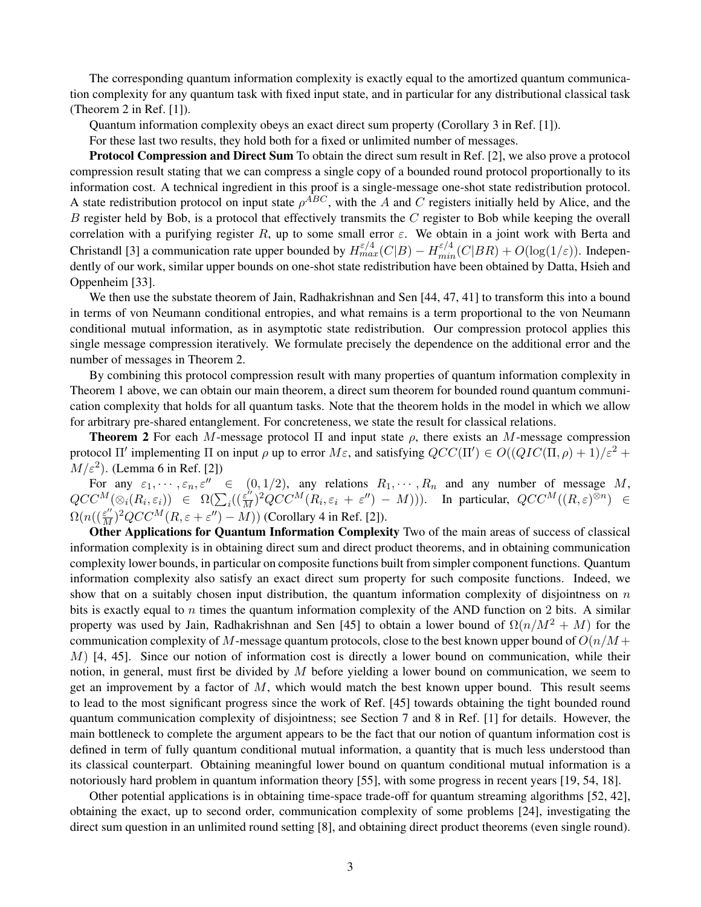The corresponding quantum information complexity is exactly equal to the amortized quantum communication complexity for any quantum task with fixed input state, and in particular for any distributional classical task (Theorem 2 in Ref. [1]).

Quantum information complexity obeys an exact direct sum property (Corollary 3 in Ref. [1]).

For these last two results, they hold both for a fixed or unlimited number of messages.

Protocol Compression and Direct Sum To obtain the direct sum result in Ref. [2], we also prove a protocol compression result stating that we can compress a single copy of a bounded round protocol proportionally to its information cost. A technical ingredient in this proof is a single-message one-shot state redistribution protocol. A state redistribution protocol on input state  $\rho^{ABC}$ , with the A and C registers initially held by Alice, and the  $B$  register held by Bob, is a protocol that effectively transmits the  $C$  register to Bob while keeping the overall correlation with a purifying register R, up to some small error  $\varepsilon$ . We obtain in a joint work with Berta and Christandl [3] a communication rate upper bounded by  $H_{max}^{\varepsilon/4}(C|B) - H_{min}^{\varepsilon/4}(C|BR) + O(\log(1/\varepsilon))$ . Independently of our work, similar upper bounds on one-shot state redistribution have been obtained by Datta, Hsieh and Oppenheim [33].

We then use the substate theorem of Jain, Radhakrishnan and Sen [44, 47, 41] to transform this into a bound in terms of von Neumann conditional entropies, and what remains is a term proportional to the von Neumann conditional mutual information, as in asymptotic state redistribution. Our compression protocol applies this single message compression iteratively. We formulate precisely the dependence on the additional error and the number of messages in Theorem 2.

By combining this protocol compression result with many properties of quantum information complexity in Theorem 1 above, we can obtain our main theorem, a direct sum theorem for bounded round quantum communication complexity that holds for all quantum tasks. Note that the theorem holds in the model in which we allow for arbitrary pre-shared entanglement. For concreteness, we state the result for classical relations.

**Theorem 2** For each M-message protocol  $\Pi$  and input state  $\rho$ , there exists an M-message compression protocol Π' implementing Π on input  $\rho$  up to error M $\varepsilon$ , and satisfying  $QCC(\Pi') \in O((QIC(\Pi, \rho) + 1)/\varepsilon^2 +$  $M/\varepsilon^2$ ). (Lemma 6 in Ref. [2])

For any  $\varepsilon_1, \dots, \varepsilon_n, \varepsilon'' \in (0, 1/2)$ , any relations  $R_1, \dots, R_n$  and any number of message M,  $QCC^M(\otimes_i(R_i,\varepsilon_i)) \in \Omega(\sum_i((\frac{\varepsilon^n}{M})^2QCC^M(R_i,\varepsilon_i + \varepsilon'') - M))).$  In particular,  $QCC^M((R,\varepsilon))^{\otimes n}) \in$  $\Omega(n((\frac{\varepsilon^{\prime\prime}}{M})^2 QCC^M(R,\varepsilon+\varepsilon^{\prime\prime})-M))$  (Corollary 4 in Ref. [2]).

Other Applications for Quantum Information Complexity Two of the main areas of success of classical information complexity is in obtaining direct sum and direct product theorems, and in obtaining communication complexity lower bounds, in particular on composite functions built from simpler component functions. Quantum information complexity also satisfy an exact direct sum property for such composite functions. Indeed, we show that on a suitably chosen input distribution, the quantum information complexity of disjointness on  $n$ bits is exactly equal to  $n$  times the quantum information complexity of the AND function on 2 bits. A similar property was used by Jain, Radhakrishnan and Sen [45] to obtain a lower bound of  $\Omega(n/M^2 + M)$  for the communication complexity of M-message quantum protocols, close to the best known upper bound of  $O(n/M +$  $M$ ) [4, 45]. Since our notion of information cost is directly a lower bound on communication, while their notion, in general, must first be divided by  $M$  before yielding a lower bound on communication, we seem to get an improvement by a factor of  $M$ , which would match the best known upper bound. This result seems to lead to the most significant progress since the work of Ref. [45] towards obtaining the tight bounded round quantum communication complexity of disjointness; see Section 7 and 8 in Ref. [1] for details. However, the main bottleneck to complete the argument appears to be the fact that our notion of quantum information cost is defined in term of fully quantum conditional mutual information, a quantity that is much less understood than its classical counterpart. Obtaining meaningful lower bound on quantum conditional mutual information is a notoriously hard problem in quantum information theory [55], with some progress in recent years [19, 54, 18].

Other potential applications is in obtaining time-space trade-off for quantum streaming algorithms [52, 42], obtaining the exact, up to second order, communication complexity of some problems [24], investigating the direct sum question in an unlimited round setting [8], and obtaining direct product theorems (even single round).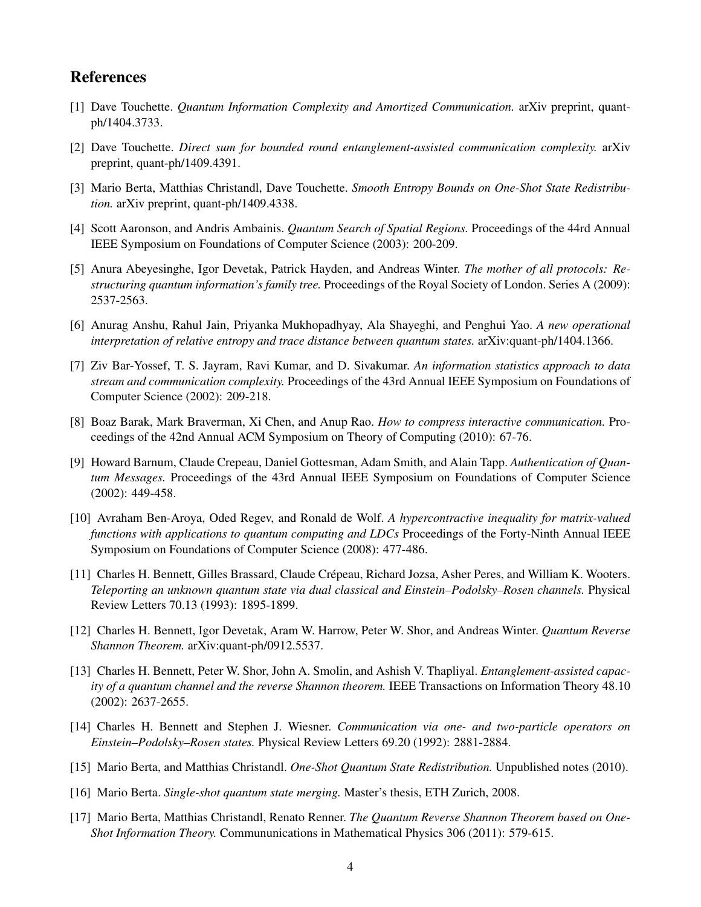## References

- [1] Dave Touchette. *Quantum Information Complexity and Amortized Communication.* arXiv preprint, quantph/1404.3733.
- [2] Dave Touchette. *Direct sum for bounded round entanglement-assisted communication complexity.* arXiv preprint, quant-ph/1409.4391.
- [3] Mario Berta, Matthias Christandl, Dave Touchette. *Smooth Entropy Bounds on One-Shot State Redistribution.* arXiv preprint, quant-ph/1409.4338.
- [4] Scott Aaronson, and Andris Ambainis. *Quantum Search of Spatial Regions.* Proceedings of the 44rd Annual IEEE Symposium on Foundations of Computer Science (2003): 200-209.
- [5] Anura Abeyesinghe, Igor Devetak, Patrick Hayden, and Andreas Winter. *The mother of all protocols: Restructuring quantum information's family tree.* Proceedings of the Royal Society of London. Series A (2009): 2537-2563.
- [6] Anurag Anshu, Rahul Jain, Priyanka Mukhopadhyay, Ala Shayeghi, and Penghui Yao. *A new operational interpretation of relative entropy and trace distance between quantum states.* arXiv:quant-ph/1404.1366.
- [7] Ziv Bar-Yossef, T. S. Jayram, Ravi Kumar, and D. Sivakumar. *An information statistics approach to data stream and communication complexity.* Proceedings of the 43rd Annual IEEE Symposium on Foundations of Computer Science (2002): 209-218.
- [8] Boaz Barak, Mark Braverman, Xi Chen, and Anup Rao. *How to compress interactive communication.* Proceedings of the 42nd Annual ACM Symposium on Theory of Computing (2010): 67-76.
- [9] Howard Barnum, Claude Crepeau, Daniel Gottesman, Adam Smith, and Alain Tapp. *Authentication of Quantum Messages.* Proceedings of the 43rd Annual IEEE Symposium on Foundations of Computer Science (2002): 449-458.
- [10] Avraham Ben-Aroya, Oded Regev, and Ronald de Wolf. *A hypercontractive inequality for matrix-valued functions with applications to quantum computing and LDCs* Proceedings of the Forty-Ninth Annual IEEE Symposium on Foundations of Computer Science (2008): 477-486.
- [11] Charles H. Bennett, Gilles Brassard, Claude Crépeau, Richard Jozsa, Asher Peres, and William K. Wooters. *Teleporting an unknown quantum state via dual classical and Einstein–Podolsky–Rosen channels.* Physical Review Letters 70.13 (1993): 1895-1899.
- [12] Charles H. Bennett, Igor Devetak, Aram W. Harrow, Peter W. Shor, and Andreas Winter. *Quantum Reverse Shannon Theorem.* arXiv:quant-ph/0912.5537.
- [13] Charles H. Bennett, Peter W. Shor, John A. Smolin, and Ashish V. Thapliyal. *Entanglement-assisted capacity of a quantum channel and the reverse Shannon theorem.* IEEE Transactions on Information Theory 48.10 (2002): 2637-2655.
- [14] Charles H. Bennett and Stephen J. Wiesner. *Communication via one- and two-particle operators on Einstein–Podolsky–Rosen states.* Physical Review Letters 69.20 (1992): 2881-2884.
- [15] Mario Berta, and Matthias Christandl. *One-Shot Quantum State Redistribution.* Unpublished notes (2010).
- [16] Mario Berta. *Single-shot quantum state merging.* Master's thesis, ETH Zurich, 2008.
- [17] Mario Berta, Matthias Christandl, Renato Renner. *The Quantum Reverse Shannon Theorem based on One-Shot Information Theory.* Commununications in Mathematical Physics 306 (2011): 579-615.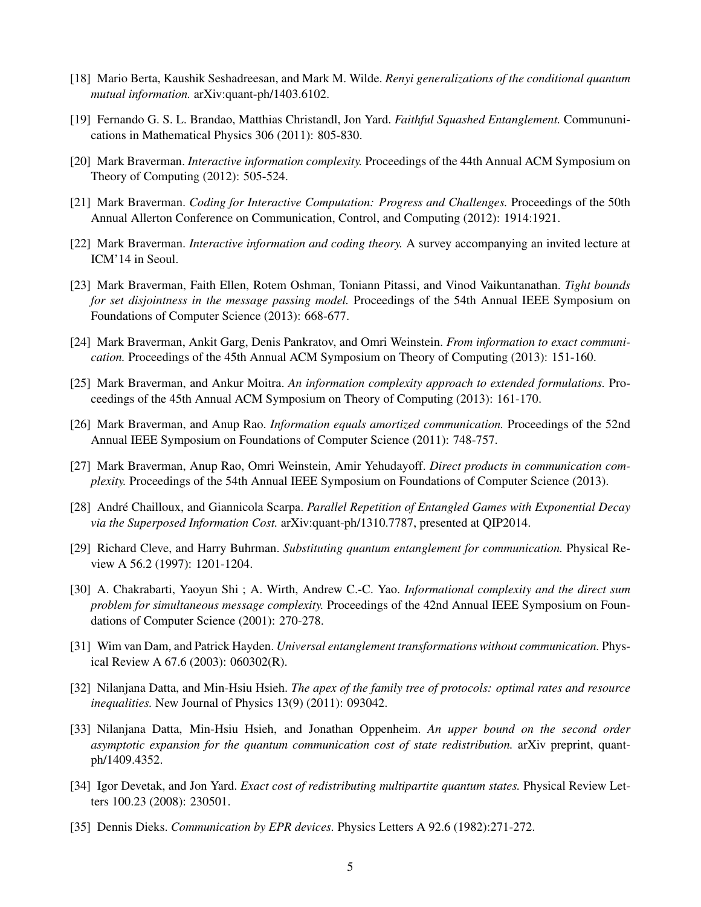- [18] Mario Berta, Kaushik Seshadreesan, and Mark M. Wilde. *Renyi generalizations of the conditional quantum mutual information.* arXiv:quant-ph/1403.6102.
- [19] Fernando G. S. L. Brandao, Matthias Christandl, Jon Yard. *Faithful Squashed Entanglement.* Commununications in Mathematical Physics 306 (2011): 805-830.
- [20] Mark Braverman. *Interactive information complexity.* Proceedings of the 44th Annual ACM Symposium on Theory of Computing (2012): 505-524.
- [21] Mark Braverman. *Coding for Interactive Computation: Progress and Challenges.* Proceedings of the 50th Annual Allerton Conference on Communication, Control, and Computing (2012): 1914:1921.
- [22] Mark Braverman. *Interactive information and coding theory.* A survey accompanying an invited lecture at ICM'14 in Seoul.
- [23] Mark Braverman, Faith Ellen, Rotem Oshman, Toniann Pitassi, and Vinod Vaikuntanathan. *Tight bounds for set disjointness in the message passing model.* Proceedings of the 54th Annual IEEE Symposium on Foundations of Computer Science (2013): 668-677.
- [24] Mark Braverman, Ankit Garg, Denis Pankratov, and Omri Weinstein. *From information to exact communication.* Proceedings of the 45th Annual ACM Symposium on Theory of Computing (2013): 151-160.
- [25] Mark Braverman, and Ankur Moitra. *An information complexity approach to extended formulations.* Proceedings of the 45th Annual ACM Symposium on Theory of Computing (2013): 161-170.
- [26] Mark Braverman, and Anup Rao. *Information equals amortized communication.* Proceedings of the 52nd Annual IEEE Symposium on Foundations of Computer Science (2011): 748-757.
- [27] Mark Braverman, Anup Rao, Omri Weinstein, Amir Yehudayoff. *Direct products in communication complexity.* Proceedings of the 54th Annual IEEE Symposium on Foundations of Computer Science (2013).
- [28] André Chailloux, and Giannicola Scarpa. *Parallel Repetition of Entangled Games with Exponential Decay via the Superposed Information Cost.* arXiv:quant-ph/1310.7787, presented at QIP2014.
- [29] Richard Cleve, and Harry Buhrman. *Substituting quantum entanglement for communication.* Physical Review A 56.2 (1997): 1201-1204.
- [30] A. Chakrabarti, Yaoyun Shi ; A. Wirth, Andrew C.-C. Yao. *Informational complexity and the direct sum problem for simultaneous message complexity.* Proceedings of the 42nd Annual IEEE Symposium on Foundations of Computer Science (2001): 270-278.
- [31] Wim van Dam, and Patrick Hayden. *Universal entanglement transformations without communication.* Physical Review A 67.6 (2003): 060302(R).
- [32] Nilanjana Datta, and Min-Hsiu Hsieh. *The apex of the family tree of protocols: optimal rates and resource inequalities.* New Journal of Physics 13(9) (2011): 093042.
- [33] Nilanjana Datta, Min-Hsiu Hsieh, and Jonathan Oppenheim. *An upper bound on the second order asymptotic expansion for the quantum communication cost of state redistribution.* arXiv preprint, quantph/1409.4352.
- [34] Igor Devetak, and Jon Yard. *Exact cost of redistributing multipartite quantum states.* Physical Review Letters 100.23 (2008): 230501.
- [35] Dennis Dieks. *Communication by EPR devices.* Physics Letters A 92.6 (1982):271-272.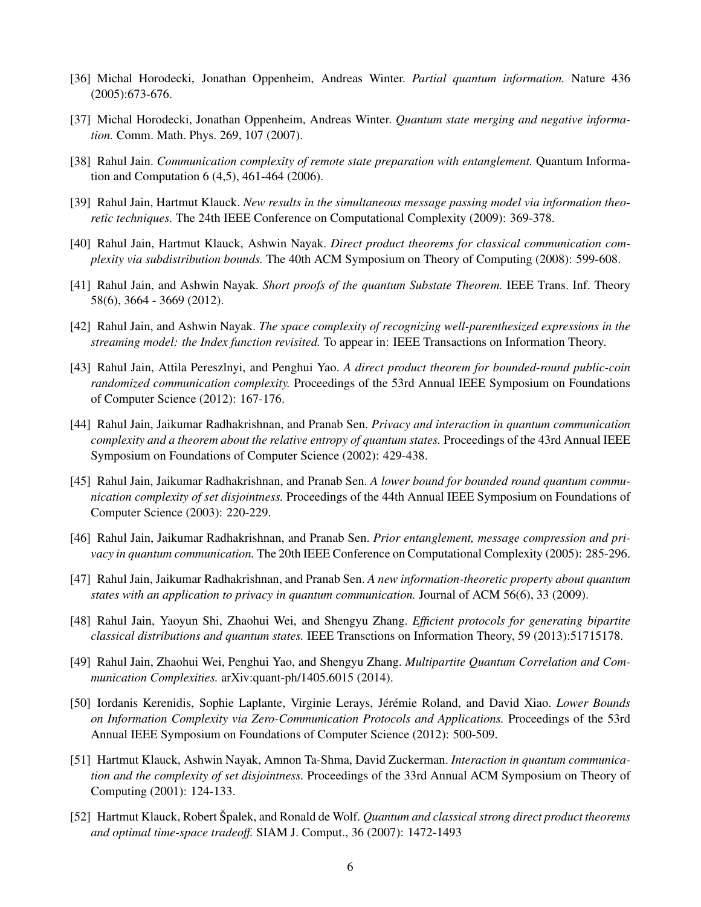- [36] Michal Horodecki, Jonathan Oppenheim, Andreas Winter. *Partial quantum information.* Nature 436 (2005):673-676.
- [37] Michal Horodecki, Jonathan Oppenheim, Andreas Winter. *Quantum state merging and negative information.* Comm. Math. Phys. 269, 107 (2007).
- [38] Rahul Jain. *Communication complexity of remote state preparation with entanglement.* Quantum Information and Computation 6 (4,5), 461-464 (2006).
- [39] Rahul Jain, Hartmut Klauck. *New results in the simultaneous message passing model via information theoretic techniques.* The 24th IEEE Conference on Computational Complexity (2009): 369-378.
- [40] Rahul Jain, Hartmut Klauck, Ashwin Nayak. *Direct product theorems for classical communication complexity via subdistribution bounds.* The 40th ACM Symposium on Theory of Computing (2008): 599-608.
- [41] Rahul Jain, and Ashwin Nayak. *Short proofs of the quantum Substate Theorem.* IEEE Trans. Inf. Theory 58(6), 3664 - 3669 (2012).
- [42] Rahul Jain, and Ashwin Nayak. *The space complexity of recognizing well-parenthesized expressions in the streaming model: the Index function revisited.* To appear in: IEEE Transactions on Information Theory.
- [43] Rahul Jain, Attila Pereszlnyi, and Penghui Yao. *A direct product theorem for bounded-round public-coin randomized communication complexity.* Proceedings of the 53rd Annual IEEE Symposium on Foundations of Computer Science (2012): 167-176.
- [44] Rahul Jain, Jaikumar Radhakrishnan, and Pranab Sen. *Privacy and interaction in quantum communication complexity and a theorem about the relative entropy of quantum states.* Proceedings of the 43rd Annual IEEE Symposium on Foundations of Computer Science (2002): 429-438.
- [45] Rahul Jain, Jaikumar Radhakrishnan, and Pranab Sen. *A lower bound for bounded round quantum communication complexity of set disjointness.* Proceedings of the 44th Annual IEEE Symposium on Foundations of Computer Science (2003): 220-229.
- [46] Rahul Jain, Jaikumar Radhakrishnan, and Pranab Sen. *Prior entanglement, message compression and privacy in quantum communication.* The 20th IEEE Conference on Computational Complexity (2005): 285-296.
- [47] Rahul Jain, Jaikumar Radhakrishnan, and Pranab Sen. *A new information-theoretic property about quantum states with an application to privacy in quantum communication.* Journal of ACM 56(6), 33 (2009).
- [48] Rahul Jain, Yaoyun Shi, Zhaohui Wei, and Shengyu Zhang. *Efficient protocols for generating bipartite classical distributions and quantum states.* IEEE Transctions on Information Theory, 59 (2013):51715178.
- [49] Rahul Jain, Zhaohui Wei, Penghui Yao, and Shengyu Zhang. *Multipartite Quantum Correlation and Communication Complexities.* arXiv:quant-ph/1405.6015 (2014).
- [50] Iordanis Kerenidis, Sophie Laplante, Virginie Lerays, Jérémie Roland, and David Xiao. *Lower Bounds on Information Complexity via Zero-Communication Protocols and Applications.* Proceedings of the 53rd Annual IEEE Symposium on Foundations of Computer Science (2012): 500-509.
- [51] Hartmut Klauck, Ashwin Nayak, Amnon Ta-Shma, David Zuckerman. *Interaction in quantum communication and the complexity of set disjointness.* Proceedings of the 33rd Annual ACM Symposium on Theory of Computing (2001): 124-133.
- [52] Hartmut Klauck, Robert Spalek, and Ronald de Wolf. *Quantum and classical strong direct product theorems and optimal time-space tradeoff.* SIAM J. Comput., 36 (2007): 1472-1493